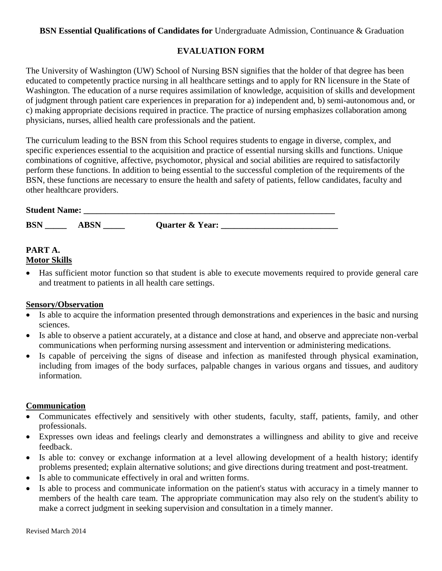#### **BSN Essential Qualifications of Candidates for** Undergraduate Admission, Continuance & Graduation

## **EVALUATION FORM**

The University of Washington (UW) School of Nursing BSN signifies that the holder of that degree has been educated to competently practice nursing in all healthcare settings and to apply for RN licensure in the State of Washington. The education of a nurse requires assimilation of knowledge, acquisition of skills and development of judgment through patient care experiences in preparation for a) independent and, b) semi-autonomous and, or c) making appropriate decisions required in practice. The practice of nursing emphasizes collaboration among physicians, nurses, allied health care professionals and the patient.

The curriculum leading to the BSN from this School requires students to engage in diverse, complex, and specific experiences essential to the acquisition and practice of essential nursing skills and functions. Unique combinations of cognitive, affective, psychomotor, physical and social abilities are required to satisfactorily perform these functions. In addition to being essential to the successful completion of the requirements of the BSN, these functions are necessary to ensure the health and safety of patients, fellow candidates, faculty and other healthcare providers.

| <b>Student Name:</b> |             |                 |  |
|----------------------|-------------|-----------------|--|
| <b>BSN</b>           | <b>ABSN</b> | Quarter & Year: |  |

# **PART A.**

#### **Motor Skills**

 Has sufficient motor function so that student is able to execute movements required to provide general care and treatment to patients in all health care settings.

#### **Sensory/Observation**

- Is able to acquire the information presented through demonstrations and experiences in the basic and nursing sciences.
- Is able to observe a patient accurately, at a distance and close at hand, and observe and appreciate non-verbal communications when performing nursing assessment and intervention or administering medications.
- Is capable of perceiving the signs of disease and infection as manifested through physical examination, including from images of the body surfaces, palpable changes in various organs and tissues, and auditory information.

#### **Communication**

- Communicates effectively and sensitively with other students, faculty, staff, patients, family, and other professionals.
- Expresses own ideas and feelings clearly and demonstrates a willingness and ability to give and receive feedback.
- Is able to: convey or exchange information at a level allowing development of a health history; identify problems presented; explain alternative solutions; and give directions during treatment and post-treatment.
- Is able to communicate effectively in oral and written forms.
- Is able to process and communicate information on the patient's status with accuracy in a timely manner to members of the health care team. The appropriate communication may also rely on the student's ability to make a correct judgment in seeking supervision and consultation in a timely manner.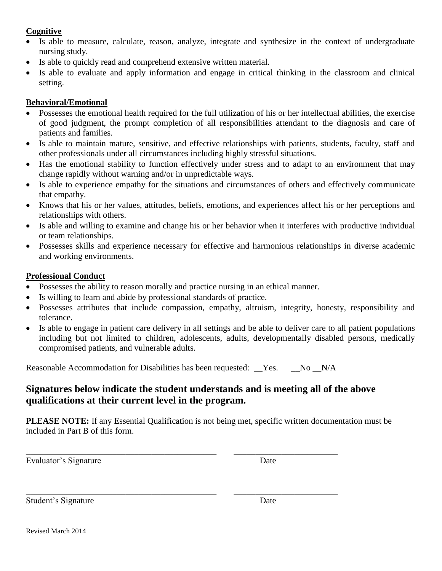## **Cognitive**

- Is able to measure, calculate, reason, analyze, integrate and synthesize in the context of undergraduate nursing study.
- Is able to quickly read and comprehend extensive written material.
- Is able to evaluate and apply information and engage in critical thinking in the classroom and clinical setting.

## **Behavioral/Emotional**

- Possesses the emotional health required for the full utilization of his or her intellectual abilities, the exercise of good judgment, the prompt completion of all responsibilities attendant to the diagnosis and care of patients and families.
- Is able to maintain mature, sensitive, and effective relationships with patients, students, faculty, staff and other professionals under all circumstances including highly stressful situations.
- Has the emotional stability to function effectively under stress and to adapt to an environment that may change rapidly without warning and/or in unpredictable ways.
- Is able to experience empathy for the situations and circumstances of others and effectively communicate that empathy.
- Knows that his or her values, attitudes, beliefs, emotions, and experiences affect his or her perceptions and relationships with others.
- Is able and willing to examine and change his or her behavior when it interferes with productive individual or team relationships.
- Possesses skills and experience necessary for effective and harmonious relationships in diverse academic and working environments.

## **Professional Conduct**

- Possesses the ability to reason morally and practice nursing in an ethical manner.
- Is willing to learn and abide by professional standards of practice.
- Possesses attributes that include compassion, empathy, altruism, integrity, honesty, responsibility and tolerance.
- Is able to engage in patient care delivery in all settings and be able to deliver care to all patient populations including but not limited to children, adolescents, adults, developmentally disabled persons, medically compromised patients, and vulnerable adults.

Reasonable Accommodation for Disabilities has been requested: \_\_Yes. \_\_No \_N/A

\_\_\_\_\_\_\_\_\_\_\_\_\_\_\_\_\_\_\_\_\_\_\_\_\_\_\_\_\_\_\_\_\_\_\_\_\_\_\_\_\_\_\_\_ \_\_\_\_\_\_\_\_\_\_\_\_\_\_\_\_\_\_\_\_\_\_\_\_

\_\_\_\_\_\_\_\_\_\_\_\_\_\_\_\_\_\_\_\_\_\_\_\_\_\_\_\_\_\_\_\_\_\_\_\_\_\_\_\_\_\_\_\_ \_\_\_\_\_\_\_\_\_\_\_\_\_\_\_\_\_\_\_\_\_\_\_\_

# **Signatures below indicate the student understands and is meeting all of the above qualifications at their current level in the program.**

**PLEASE NOTE:** If any Essential Qualification is not being met, specific written documentation must be included in Part B of this form.

Evaluator's Signature Date

Student's Signature Date

Revised March 2014